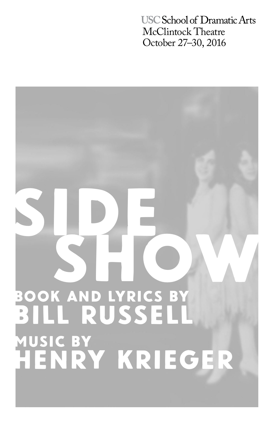**USC School of Dramatic Arts** McClintock Theatre October 27–30, 2016

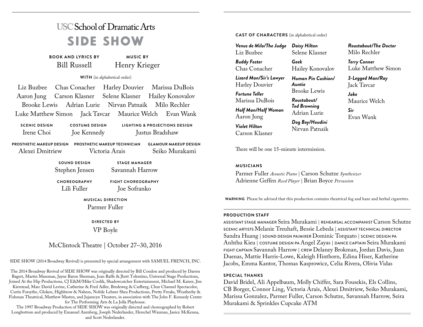# **USC School of Dramatic Arts** SIDE SHOW

**BOOK AND LYRICS BY** Bill Russell **MUSIC BY** Henry Krieger

**WITH** (in alphabetical order)

Liz Buzbee Chas Conacher Harley Douvier Marissa DuBois Aaron Jung Carson Klasner Selene Klasner Hailey Konovalov Brooke Lewis Adrian Lurie Nirvan Patnaik Milo Rechler Luke Matthew Simon Jack Tavcar Maurice Welch Evan Wank

**SCENIC DESIGN** Irene Choi **COSTUME DESIGN** Joe Kennedy

**LIGHTING & PROJECTIONS DESIGN** Justus Bradshaw

**PROSTHETIC MAKEUP DESIGN PROSTHETIC MAKEUP TECHNICIAN** Alexei Dmitriew

Victoria Arais **GLAMOUR MAKEUP DESIGN** Seiko Murakami

**SOUND DESIGN** Stephen Jensen

Savannah Harrow

**STAGE MANAGER**

**CHOREOGRAPHY** Lili Fuller

**FIGHT CHOREOGRAPHY** Joe Sofranko

**MUSICAL DIRECTION** Parmer Fuller

> **DIRECTED BY** VP Boyle

## McClintock Theatre | October 27–30, 2016

SIDE SHOW (2014 Broadway Revival) is presented by special arrangement with SAMUEL FRENCH, INC.

The 2014 Broadway Revival of SIDE SHOW was originally directed by Bill Condon and produced by Darren Bagert, Martin Massman, Jayne Baron Sherman, Joan Raffe & Jhett Tolentino, Universal Stage Productions, Joined At the Hip Productions, CJ E&M/Mike Coolik, Shadowcatcher Entertainment, Michael M. Kaiser, Jim Kierstead, Marc David Levine, Catherine & Fred Adler, Bredeweg & Carlberg, Clear Channel Spectacolor, Curtis Forsythe, Gloken, Highbrow & Nahem, Nobile Lehner Shea Productions, Pretty Freaks, Weatherby & Fishman Theatrical, Matthew Masten, and Jujamcyn Theaters, in association with The John F. Kennedy Center for The Performing Arts & La Jolla Playhouse.

The 1997 Broadway Production of SIDE SHOW was originally directed and choreographed by Robert Longbottom and produced by Emanuel Azenberg, Joseph Nederlander, Herschel Waxman, Janice McKenna, and Scott Nederlander.

**CAST OF CHARACTERS** (in alphabetical order)

*Venus de Milo/The Judge Daisy Hilton* Liz Buzbee *Buddy Foster* Selene Klasner *Geek*

Chas Conacher

*Lizard Man/Sir's Lawyer* Harley Douvier *Fortune Teller*

Marissa DuBois *Half Man/Half Woman* Aaron Jung *Violet Hilton*

Carson Klasner

There will be one 15-minute intermission.

## **MUSICIANS**

Parmer Fuller *Acoustic Piano* | Carson Schutze *Synthesizer* Adrienne Geffen *Reed Player* | Brian Boyce *Percussion*

**WARNING** Please be advised that this production contains theatrical fog and haze and herbal cigarettes.

Hailey Konovalov *Human Pin Cushion/*

Brooke Lewis *Roustabout/ Tod Browning* Adrian Lurie *Dog Boy/Houdini* Nirvan Patnaik

*Auntie*

#### **PRODUCTION STAFF**

ASSISTANT STAGE MANAGER Seira Murakami | REHEARSAL ACCOMPANIST Carson Schutze SCENIC ARTISTS Melanie Treuhaft, Bessie Lebeda | ASSISTANT TECHNICAL DIRECTOR Sandra Huang | SOUND DESIGN PA/MIXER Dominic Torquato | SCENIC DESIGN PA Anhthu Kieu | COSTUME DESIGN PA Angel Zayas | DANCE CAPTAIN Seira Murakami FIGHT CAPTAIN Savannah Harrow | CREW Delaney Brokman, Jordan Davis, Juan Duenas, Mattie Harris-Lowe, Kaleigh Hinthorn, Edina Hiser, Katherine Jacobs, Emma Kantor, Thomas Kasprowicz, Celia Rivera, Olivia Vidas

## **SPECIAL THANKS**

David Bridel, Ali Appelbaum, Molly Chiffer, Sara Fousekis, Els Collins, CB Borger, Connor Ling, Victoria Arais, Alexei Dmitriew, Seiko Murakami, Marissa Gonzalez, Parmer Fuller, Carson Schutze, Savannah Harrow, Seira Murakami & Sprinkles Cupcake ATM

*Roustabout/The Doctor* Milo Rechler

*Terry Conner* Luke Matthew Simon

*3-Legged Man/Ray* Jack Tavcar

*Jake* Maurice Welch

*Sir* Evan Wank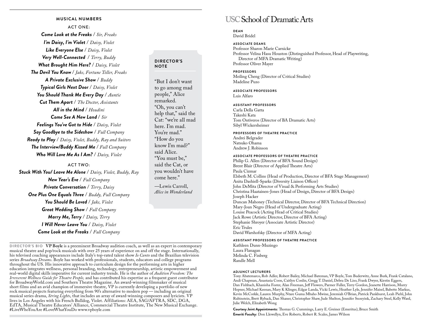#### **MUSICAL NUMBERS**

ACT ONE: *Come Look at the Freaks* / *Sir, Freaks I'm Daisy, I'm Violet* / *Daisy, Violet Like Everyone Else* / *Daisy, Violet Very Well-Connected* / *Terry, Buddy What Brought Him Here?* / *Daisy, Violet The Devil You Know* / *Jake, Fortune Teller, Freaks A Private Exclusive Show* / *Buddy Typical Girls Next Door* / *Daisy, Violet You Should Thank Me Every Day* / *Auntie Cut Them Apart* / *The Doctor, Assistants All in the Mind* / *Houdini Come See A New Land* / *Sir Feelings You've Got to Hide* / *Daisy, Violet Say Goodbye to the Sideshow* / *Full Company Ready to Play* / *Daisy, Violet, Buddy, Ray and Suitors The Interview/Buddy Kissed Me* / *Full Company Who Will Love Me As I Am?* / *Daisy, Violet*

## ACT TWO:

*Stuck With You/ Leave Me Alone* / *Daisy, Violet, Buddy, Ray New Year's Eve* / *Full Company Private Conversation* / *Terry, Daisy One Plus One Equals Three* / *Buddy, Full Company You Should Be Loved* / *Jake, Violet Great Wedding Show* / *Full Company Marry Me, Terry* / *Daisy, Terry I Will Never Leave You* / *Daisy, Violet Come Look at the Freaks* / *Full Company*

## **DIRECTOR'S NOTE**

"But I don't want to go among mad people," Alice remarked. "Oh, you can't help that," said the Cat: "we're all mad here. I'm mad. You're mad." "How do you know I'm mad?" said Alice. "You must be," said the Cat, or you wouldn't have come here."

—Lewis Carroll, *Alice in Wonderland*

**DIRECTOR'S BIO VP Boyle** is a preeminent Broadway audition coach, as well as an expert in contemporary musical theatre and pop/rock musicals with over 25 years of experience on and off the stage. Internationally, his televised coaching appearances include Italy's top-rated talent show *Io Canto* and the Brazilian television series *Broadway Dreams*. Boyle has worked with professionals, students, educators and college programs throughout the US. His innovative approach to curriculum design for the performing arts in higher education integrates wellness, personal branding, technology, entrepreneurship, artistic empowerment and real-world digital skills imperative for current industry trends. He is the author of *Audition Freedom: The Irreverent Wellness Guide for Theatre People,* and has contributed his expertise as a frequent guest contributor for BroadwayWorld.com and Southern Theatre Magazine. An award-winning filmmaker of musical short films and an avid champion of immersive theatre, VP is currently developing a portfolio of new rock musical projects featuring everything from 90's alternative to modern pop — including an original musical series drama, *String Lights*, that includes an array of award-winning composers and lyricists. VP lives in Los Angeles with his French Bulldog, Violet. Affiliations: AEA, SAG/AFTRA, SDC, DGA, EdTA, Musical Theatre Educators' Alliance, Commercial Theatre Institute, The New Musical Exchange. #LiveWhoYouAre #LoveWhatYouDo www.vpboyle.com

## **USC School of Dramatic Arts**

## **DEAN**

David Bridel

**ASSOCIATE DEANS** Professor Sharon Marie Carnicke Professor Velina Hasu Houston (Distinguished Professor, Head of Playwriting, Director of MFA Dramatic Writing) Professor Oliver Mayer

#### **PROFESSORS**

Meiling Cheng (Director of Critical Studies) Madeline Puzo

## **ASSOCIATE PROFESSORS**

Luis Alfaro

#### **ASSISTANT PROFESSORS**

Carla Della Gatta Takeshi Kata Tom Ontiveros (Director of BA Dramatic Arts) Sibyl Wickersheimer

#### **PROFESSORS OF THEATRE PRACTICE**

Andrei Belgrader Natsuko Ohama Andrew J. Robinson

#### **ASSOCIATE PROFESSORS OF THEATRE PRACTICE**

Philip G. Allen (Director of BFA Sound Design) Brent Blair (Director of Applied Theatre Arts) Paula Cizmar Elsbeth M. Collins (Head of Production, Director of BFA Stage Management) Anita Dashiell-Sparks (Diversity Liaison Officer) John DeMita (Director of Visual & Performing Arts Studies) Christina Haatainen-Jones (Head of Design, Director of BFA Design) Joseph Hacker Duncan Mahoney (Technical Director, Director of BFA Technical Direction) Mary-Joan Negro (Head of Undergraduate Acting) Louise Peacock (Acting Head of Critical Studies) Jack Rowe (Artistic Director, Director of BFA Acting) Stephanie Shroyer (Associate Artistic Director) Eric Trules David Warshofsky (Director of MFA Acting)

#### **ASSISTANT PROFESSORS OF THEATRE PRACTICE**

Kathleen Dunn-Muzingo Laura Flanagan Melinda C. Finberg Randle Mell

#### **ADJUNCT LECTURERS**

Tony Abatemarco, Rob Adler, Robert Bailey, Michael Bateman, VP Boyle, Tom Buderwitz, Anne Burk, Frank Catalano, Andi Chapman, Anastasia Coon, Caitlyn Conlin, Gregg T. Daniel, Debra De Liso, Frank Dwyer, Kirstin Eggers, Dan Fishbach, Khanisha Foster, Alan Freeman, Jeff Flowers, Parmer Fuller, Terry Gordon, Jeanette Harrison, Murry Hepner, Michael Keenan, Mary K Klinger, Edgar Landa, Vicki Lewis, Heather Lyle, Jennifer Maisel, Babette Markus, Kevin McCorkle, Lauren Murphy, Ntare Guma Mbaho Mwine, Jeremiah O'Brian, Patrick Pankhurst, Leah Piehl, John Rubinstein, Brett Ryback, Dan Shaner, Christopher Shaw, Jude Shelton, Jennifer Snoeyink, Zachary Steel, Kelly Ward, Julie Welch, Elizabeth Wong

**Courtesy Joint Appointments:** Thomas G. Cummings, Larry E. Greiner (Emeritus), Bruce Smith **Emeriti Faculty:** Don Llewellyn, Eve Roberts, Robert R. Scales, James Wilson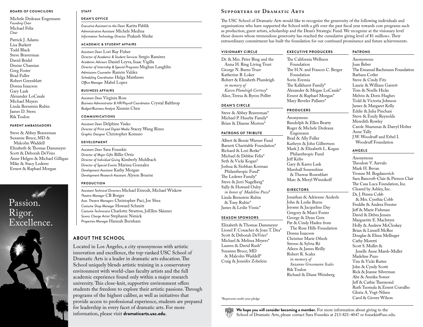#### **BOARD OF COUNCILORS**

Michele Dedeaux Engemann *Founding Chair* Michael Felix *Chair*

Patrick J. Adams Lisa Barkett Todd Black Steve Braverman David Bridel Denise Chamian Greg Foster Brad Fuller Robert Greenblatt Donna Isaacson Gary Lask Alexander LoCasale Michael Meyers Linda Bernstein Rubin James D. Stern Rik Toulon

#### **PARENT AMBASSADORS**

Steve & Abbey Braverman Suzanne Bruce, MD & Malcolm Waddell Elizabeth & Thomas Dammeyer Scott & Deborah DeVries Anne Helgen & Michael Gilligan Mike & Stacy Lederer Ernest & Raphael Morgan



## **STAFF**

### **DEAN'S OFFICE**

*Executive Assistant to the Dean* Karita Pablik *Administrative Assistant* Michele Medina *Information Technology Director* Prakash Shirke

#### **ACADEMIC & STUDENT AFFAIRS**

*Assistant Dean* Lori Ray Fisher *Director of Academic & Student Services* Sergio Ramirez *Academic Advisors* Daniel Leyva, Isaac Vigilla *Director of Internship & Special Programs* Meghan Laughlin *Admissions Counselor* Ramón Valdez *Scheduling Coordinator* Helga Matthews *Office Manager* Mabel Lopez

#### **BUSINESS AFFAIRS**

*Assistant Dean* Virginia Ross *Business Administrator & HR/Payroll Coordinator* Crystal Balthrop *Budget/Business Analyst* Xinmin Chen

#### **COMMUNICATIONS**

*Assistant Dean* Delphine Vasko *Director of Print and Digital Media* Stacey Wang Rizzo *Graphic Designer* Christopher Komuro

#### **DEVELOPMENT**

*Assistant Dean* Sara Fousekis *Director of Major Gifts* Billie Ortiz *Director of Individual Giving* Kimberly Muhlbach *Director of Special Events* Marissa Gonzalez *Development Assistant* Kathy Morgan *Development Research Assistant* Alyson Bourne

#### **PRODUCTION**

*Assistant Technical Directors* Michael Etzrodt, Michael Wiskow *Theatre Manager* CB Borger *Asst. Theatre Managers* Christopher Paci, Joe Shea *Costume Shop Manager* Howard Schmitt *Costume Technicians* Charlotte Stratton, JoEllen Skinner *Scenic Charge Artist* Stephanie Nimick *Properties Manager* Hannah Burnham

## **ABOUT THE SCHOOL**

Located in Los Angeles, a city synonymous with artistic innovation and excellence, the top-ranked USC School of Dramatic Arts is a leader in dramatic arts education. The School uniquely blends artistic training in a conservatory environment with world-class faculty artists and the full academic experience found only within a major research university. This close-knit, supportive environment offers students the freedom to explore their artistic passions. Through programs of the highest caliber, as well as initiatives that provide access to professional experience, students are prepared for leadership in every facet of dramatic arts. For more information, please visit **dramaticarts.usc.edu**.

## **Supporters of Dramatic Arts**

The USC School of Dramatic Arts would like to recognize the generosity of the following individuals and organizations who have supported the School with a gift over the past fiscal year towards core programs such as production, guest artists, scholarship and the Dean's Strategic Fund. We recognize at the visionary level those donors whose tremendous generosity has reached the cumulative giving level of \$1 million+. Their extraordinary commitment has built the foundation for our continued prominence and future achievements.

#### **VISIONARY CIRCLE**

Dr. & Mrs. Peter Bing and the Anna H. Bing Living Trust George N. Burns Trust Katherine B. Loker Robert & Elizabeth Plumleigh *in memory of Karen Plumleigh Cortney*\* Alice, Teresa & Byron Pollitt

#### **DEAN'S CIRCLE**

Steve & Abbey Braverman\* Michael P. Huseby Family\* Brian & Dianne Morton\*

#### **PATRONS OF TRIBUTE**

Albert & Bessie Warner Fund Barnett Charitable Foundation\* Richard & Lori Berke\* Michael & Debbie Felix\* Seth & Vicki Kogan\* Joshua & Siobhan Korman Philanthropic Fund\* The Lederer Family\* Steve & Jerri Nagelberg\* Sally & Howard Oxley *in honor of Madeline Puzo*\* Linda Bernstein Rubin & Tony Rubin\* James & Leslie Visnic\*

#### **SEASON SPONSORS**

Elizabeth & Thomas Dammeyer Lionel F. Conacher & Joan T. Dea\* Scott & Deborah DeVries\* Michael & Melissa Meyers\* Lauren & David Rush\* Suzanne Bruce, MD & Malcolm Waddell\* Craig & Jennifer Zobelein

\*Represents multi-year pledge

The California Wellness Foundation The H.N. and Frances C. Berger Foundation Sorin Eremia The Kalkhurst Family\* Alexander & Megan LoCasale\* Ernest & Raphael Morgan\* Mary Reveles Pallares\*

**EXECUTIVE PRODUCERS**

#### **PRODUCERS**

Anonymous Randolph & Ellen Beatty Roger & Michele Dedeaux Engemann Brad & Ally Fuller Kathryn & John Gilbertson Mark J. & Elizabeth L. Kogan Philanthropic Fund Jeff Kribs Gary & Karen Lask Marshall Sonenshine & Therese Rosenblatt Marc & Meryl Winnikoff

#### **DIRECTORS**

Jonathan & Adrienne Anderle John & Leslie Burns Jerome & Jacqueline Day Gregory & Marci Foster George & Dyan Getz Pat & Cindy Haden from The Rose Hills Foundation Donna Isaacson Christine Marie Ofiesh Steven & Sylvia Ré Aileen & James Reilly Robert R. Scales *in memory of Suzanne Grossmann Scales* Rik Toulon Richard & Diane Weinberg

## Anonymous Joan Beber The Emanuel Bachmann Foundation Barbara Cotler Steve & Cindy Fitz Laurie & William Garrett

Tom & Noelle Hicks Melvin & Doris Hughes Todd & Victoria Johnson James & Margaret Kelly Eddie & Julia Pinchasi Steve & Emily Reynolds Meredith Rowley Carole Shammas & Darryl Holter Anne Tally J.W. Woodruff and Ethel I. Woodruff Foundation

#### **ANGELS**

**PATRONS**

Anonymous Theodore V. Arevalo Mark H. Bevan Yvonne M. Bogdanovich Sara Bancroft-Clair & Pierson Clair The Casa Luca Foundation, Inc. Cleared by Ashley, Inc. Dr. J. Perren Cobb & Mrs. Cynthia Cobb Freddie & Andrea Fenster Jeff & Marie Fishman David & Debra Jensen Marguerite E. Maclntyre Holly & Andrew McCloskey Brian & Linnell McRee Douglas & Elissa Mellinger Cathy Moretti Scott S. Mullet & Jenelle Anne Marsh-Mullet Madeline Puzo Tim & Vicki Rutter John & Cyndy Scotti Rick & Jeanne Silverman Abe & Annika Somer Jeff & Cathie Thermond Ruth Tuomala & Ernest Cravalho Gloria A. Vogt-Nilsen Carol & Grover Wilson

**We hope you will consider becoming a member.** For more information about giving to the School of Dramatic Arts, please contact Sara Fousekis at 213-821-4047 or fousekis@usc.edu.